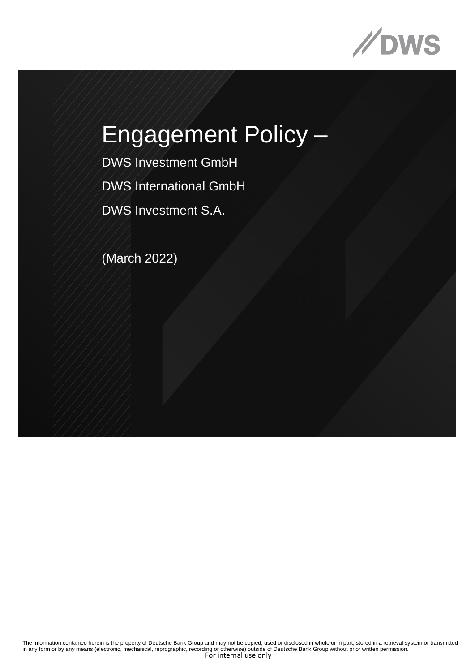

DWS Investment GmbH DWS International GmbH DWS Investment S.A.

(March 2022)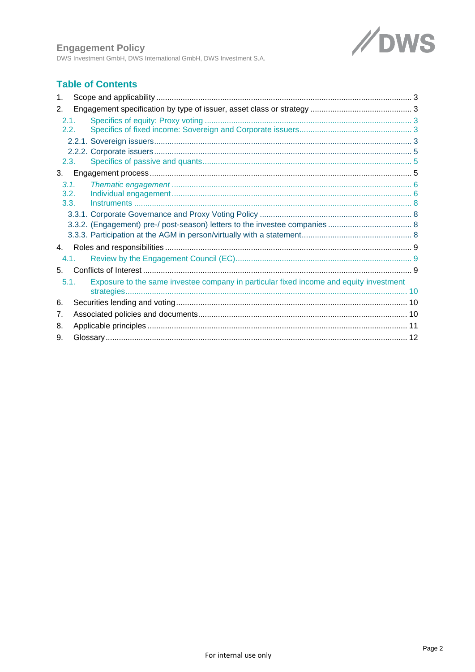

**Engagement Policy**<br>DWS Investment GmbH, DWS International GmbH, DWS Investment S.A.

# **Table of Contents**

| 1.   |                                                                                        |  |  |
|------|----------------------------------------------------------------------------------------|--|--|
| 2.   |                                                                                        |  |  |
| 2.1. |                                                                                        |  |  |
| 2.2. |                                                                                        |  |  |
|      |                                                                                        |  |  |
|      |                                                                                        |  |  |
| 2.3. |                                                                                        |  |  |
| 3.   |                                                                                        |  |  |
| 3.1. |                                                                                        |  |  |
| 3.2. |                                                                                        |  |  |
| 3.3. |                                                                                        |  |  |
|      |                                                                                        |  |  |
|      |                                                                                        |  |  |
|      |                                                                                        |  |  |
| 4.   |                                                                                        |  |  |
| 4.1. |                                                                                        |  |  |
| 5.   |                                                                                        |  |  |
| 5.1. | Exposure to the same investee company in particular fixed income and equity investment |  |  |
|      |                                                                                        |  |  |
| 6.   |                                                                                        |  |  |
| 7.   |                                                                                        |  |  |
| 8.   |                                                                                        |  |  |
| 9.   |                                                                                        |  |  |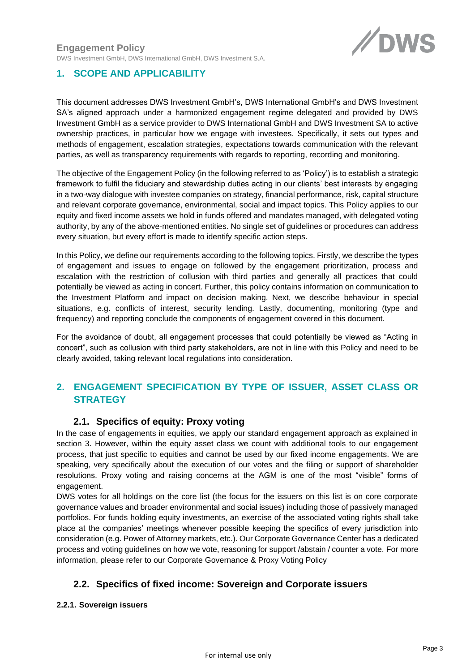

# <span id="page-2-0"></span>**1. SCOPE AND APPLICABILITY**

This document addresses DWS Investment GmbH's, DWS International GmbH's and DWS Investment SA's aligned approach under a harmonized engagement regime delegated and provided by DWS Investment GmbH as a service provider to DWS International GmbH and DWS Investment SA to active ownership practices, in particular how we engage with investees. Specifically, it sets out types and methods of engagement, escalation strategies, expectations towards communication with the relevant parties, as well as transparency requirements with regards to reporting, recording and monitoring.

The objective of the Engagement Policy (in the following referred to as 'Policy') is to establish a strategic framework to fulfil the fiduciary and stewardship duties acting in our clients' best interests by engaging in a two-way dialogue with investee companies on strategy, financial performance, risk, capital structure and relevant corporate governance, environmental, social and impact topics. This Policy applies to our equity and fixed income assets we hold in funds offered and mandates managed, with delegated voting authority, by any of the above-mentioned entities. No single set of guidelines or procedures can address every situation, but every effort is made to identify specific action steps.

In this Policy, we define our requirements according to the following topics. Firstly, we describe the types of engagement and issues to engage on followed by the engagement prioritization, process and escalation with the restriction of collusion with third parties and generally all practices that could potentially be viewed as acting in concert. Further, this policy contains information on communication to the Investment Platform and impact on decision making. Next, we describe behaviour in special situations, e.g. conflicts of interest, security lending. Lastly, documenting, monitoring (type and frequency) and reporting conclude the components of engagement covered in this document.

For the avoidance of doubt, all engagement processes that could potentially be viewed as "Acting in concert", such as collusion with third party stakeholders, are not in line with this Policy and need to be clearly avoided, taking relevant local regulations into consideration.

# <span id="page-2-1"></span>**2. ENGAGEMENT SPECIFICATION BY TYPE OF ISSUER, ASSET CLASS OR STRATEGY**

# **2.1. Specifics of equity: Proxy voting**

<span id="page-2-2"></span>In the case of engagements in equities, we apply our standard engagement approach as explained in section 3. However, within the equity asset class we count with additional tools to our engagement process, that just specific to equities and cannot be used by our fixed income engagements. We are speaking, very specifically about the execution of our votes and the filing or support of shareholder resolutions. Proxy voting and raising concerns at the AGM is one of the most "visible" forms of engagement.

DWS votes for all holdings on the core list (the focus for the issuers on this list is on core corporate governance values and broader environmental and social issues) including those of passively managed portfolios. For funds holding equity investments, an exercise of the associated voting rights shall take place at the companies' meetings whenever possible keeping the specifics of every jurisdiction into consideration (e.g. Power of Attorney markets, etc.). Our Corporate Governance Center has a dedicated process and voting guidelines on how we vote, reasoning for support /abstain / counter a vote. For more information, please refer to our Corporate Governance & Proxy Voting Policy

# <span id="page-2-3"></span>**2.2. Specifics of fixed income: Sovereign and Corporate issuers**

### <span id="page-2-4"></span>**2.2.1. Sovereign issuers**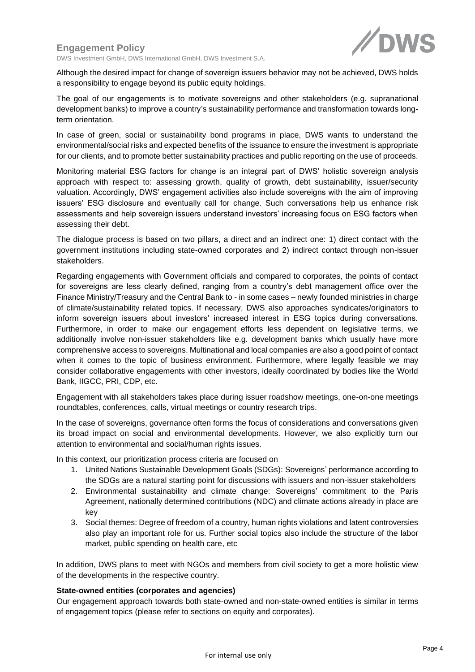

DWS Investment GmbH, DWS International GmbH, DWS Investment S.A.

Although the desired impact for change of sovereign issuers behavior may not be achieved, DWS holds a responsibility to engage beyond its public equity holdings.

The goal of our engagements is to motivate sovereigns and other stakeholders (e.g. supranational development banks) to improve a country's sustainability performance and transformation towards longterm orientation.

In case of green, social or sustainability bond programs in place, DWS wants to understand the environmental/social risks and expected benefits of the issuance to ensure the investment is appropriate for our clients, and to promote better sustainability practices and public reporting on the use of proceeds.

Monitoring material ESG factors for change is an integral part of DWS' holistic sovereign analysis approach with respect to: assessing growth, quality of growth, debt sustainability, issuer/security valuation. Accordingly, DWS' engagement activities also include sovereigns with the aim of improving issuers' ESG disclosure and eventually call for change. Such conversations help us enhance risk assessments and help sovereign issuers understand investors' increasing focus on ESG factors when assessing their debt.

The dialogue process is based on two pillars, a direct and an indirect one: 1) direct contact with the government institutions including state-owned corporates and 2) indirect contact through non-issuer stakeholders.

Regarding engagements with Government officials and compared to corporates, the points of contact for sovereigns are less clearly defined, ranging from a country's debt management office over the Finance Ministry/Treasury and the Central Bank to - in some cases – newly founded ministries in charge of climate/sustainability related topics. If necessary, DWS also approaches syndicates/originators to inform sovereign issuers about investors' increased interest in ESG topics during conversations. Furthermore, in order to make our engagement efforts less dependent on legislative terms, we additionally involve non-issuer stakeholders like e.g. development banks which usually have more comprehensive access to sovereigns. Multinational and local companies are also a good point of contact when it comes to the topic of business environment. Furthermore, where legally feasible we may consider collaborative engagements with other investors, ideally coordinated by bodies like the World Bank, IIGCC, PRI, CDP, etc.

Engagement with all stakeholders takes place during issuer roadshow meetings, one-on-one meetings roundtables, conferences, calls, virtual meetings or country research trips.

In the case of sovereigns, governance often forms the focus of considerations and conversations given its broad impact on social and environmental developments. However, we also explicitly turn our attention to environmental and social/human rights issues.

In this context, our prioritization process criteria are focused on

- 1. United Nations Sustainable Development Goals (SDGs): Sovereigns' performance according to the SDGs are a natural starting point for discussions with issuers and non-issuer stakeholders
- 2. Environmental sustainability and climate change: Sovereigns' commitment to the Paris Agreement, nationally determined contributions (NDC) and climate actions already in place are key
- 3. Social themes: Degree of freedom of a country, human rights violations and latent controversies also play an important role for us. Further social topics also include the structure of the labor market, public spending on health care, etc

In addition, DWS plans to meet with NGOs and members from civil society to get a more holistic view of the developments in the respective country.

#### **State-owned entities (corporates and agencies)**

Our engagement approach towards both state-owned and non-state-owned entities is similar in terms of engagement topics (please refer to sections on equity and corporates).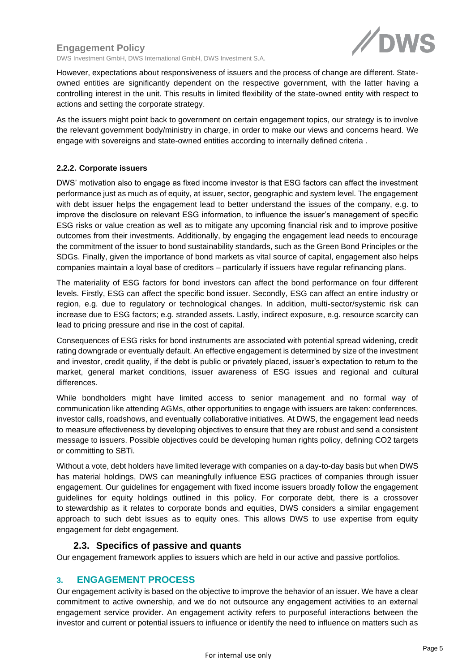$\mathscr{N}$ r

DWS Investment GmbH, DWS International GmbH, DWS Investment S.A.

However, expectations about responsiveness of issuers and the process of change are different. Stateowned entities are significantly dependent on the respective government, with the latter having a controlling interest in the unit. This results in limited flexibility of the state-owned entity with respect to actions and setting the corporate strategy.

As the issuers might point back to government on certain engagement topics, our strategy is to involve the relevant government body/ministry in charge, in order to make our views and concerns heard. We engage with sovereigns and state-owned entities according to internally defined criteria .

#### <span id="page-4-0"></span>**2.2.2. Corporate issuers**

DWS' motivation also to engage as fixed income investor is that ESG factors can affect the investment performance just as much as of equity, at issuer, sector, geographic and system level. The engagement with debt issuer helps the engagement lead to better understand the issues of the company, e.g. to improve the disclosure on relevant ESG information, to influence the issuer's management of specific ESG risks or value creation as well as to mitigate any upcoming financial risk and to improve positive outcomes from their investments. Additionally, by engaging the engagement lead needs to encourage the commitment of the issuer to bond sustainability standards, such as the Green Bond Principles or the SDGs. Finally, given the importance of bond markets as vital source of capital, engagement also helps companies maintain a loyal base of creditors – particularly if issuers have regular refinancing plans.

The materiality of ESG factors for bond investors can affect the bond performance on four different levels. Firstly, ESG can affect the specific bond issuer. Secondly, ESG can affect an entire industry or region, e.g. due to regulatory or technological changes. In addition, multi-sector/systemic risk can increase due to ESG factors; e.g. stranded assets. Lastly, indirect exposure, e.g. resource scarcity can lead to pricing pressure and rise in the cost of capital.

Consequences of ESG risks for bond instruments are associated with potential spread widening, credit rating downgrade or eventually default. An effective engagement is determined by size of the investment and investor, credit quality, if the debt is public or privately placed, issuer's expectation to return to the market, general market conditions, issuer awareness of ESG issues and regional and cultural differences.

While bondholders might have limited access to senior management and no formal way of communication like attending AGMs, other opportunities to engage with issuers are taken: conferences, investor calls, roadshows, and eventually collaborative initiatives. At DWS, the engagement lead needs to measure effectiveness by developing objectives to ensure that they are robust and send a consistent message to issuers. Possible objectives could be developing human rights policy, defining CO2 targets or committing to SBTi.

Without a vote, debt holders have limited leverage with companies on a day-to-day basis but when DWS has material holdings, DWS can meaningfully influence ESG practices of companies through issuer engagement. Our guidelines for engagement with fixed income issuers broadly follow the engagement guidelines for equity holdings outlined in this policy. For corporate debt, there is a crossover to stewardship as it relates to corporate bonds and equities, DWS considers a similar engagement approach to such debt issues as to equity ones. This allows DWS to use expertise from equity engagement for debt engagement.

### **2.3. Specifics of passive and quants**

<span id="page-4-1"></span>Our engagement framework applies to issuers which are held in our active and passive portfolios.

### <span id="page-4-2"></span>**3. ENGAGEMENT PROCESS**

Our engagement activity is based on the objective to improve the behavior of an issuer. We have a clear commitment to active ownership, and we do not outsource any engagement activities to an external engagement service provider. An engagement activity refers to purposeful interactions between the investor and current or potential issuers to influence or identify the need to influence on matters such as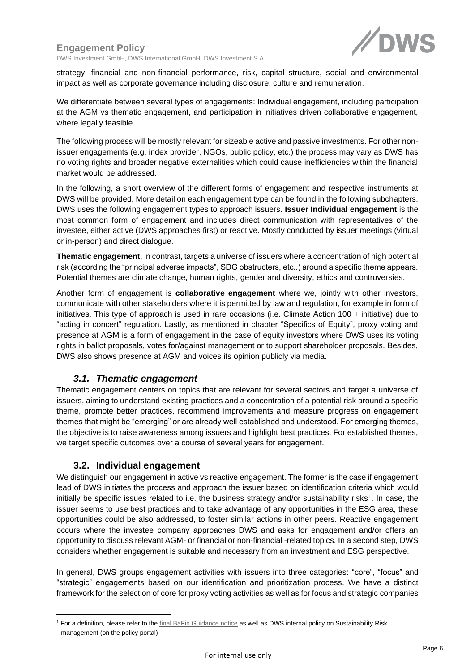

DWS Investment GmbH, DWS International GmbH, DWS Investment S.A.

strategy, financial and non-financial performance, risk, capital structure, social and environmental impact as well as corporate governance including disclosure, culture and remuneration.

We differentiate between several types of engagements: Individual engagement, including participation at the AGM vs thematic engagement, and participation in initiatives driven collaborative engagement, where legally feasible.

The following process will be mostly relevant for sizeable active and passive investments. For other nonissuer engagements (e.g. index provider, NGOs, public policy, etc.) the process may vary as DWS has no voting rights and broader negative externalities which could cause inefficiencies within the financial market would be addressed.

In the following, a short overview of the different forms of engagement and respective instruments at DWS will be provided. More detail on each engagement type can be found in the following subchapters. DWS uses the following engagement types to approach issuers. **Issuer Individual engagement** is the most common form of engagement and includes direct communication with representatives of the investee, either active (DWS approaches first) or reactive. Mostly conducted by issuer meetings (virtual or in-person) and direct dialogue.

**Thematic engagement**, in contrast, targets a universe of issuers where a concentration of high potential risk (according the "principal adverse impacts", SDG obstructers, etc..) around a specific theme appears. Potential themes are climate change, human rights, gender and diversity, ethics and controversies.

Another form of engagement is **collaborative engagement** where we, jointly with other investors, communicate with other stakeholders where it is permitted by law and regulation, for example in form of initiatives. This type of approach is used in rare occasions (i.e. Climate Action 100 + initiative) due to "acting in concert" regulation. Lastly, as mentioned in chapter "Specifics of Equity", proxy voting and presence at AGM is a form of engagement in the case of equity investors where DWS uses its voting rights in ballot proposals, votes for/against management or to support shareholder proposals. Besides, DWS also shows presence at AGM and voices its opinion publicly via media.

### *3.1. Thematic engagement*

<span id="page-5-0"></span>Thematic engagement centers on topics that are relevant for several sectors and target a universe of issuers, aiming to understand existing practices and a concentration of a potential risk around a specific theme, promote better practices, recommend improvements and measure progress on engagement themes that might be "emerging" or are already well established and understood. For emerging themes, the objective is to raise awareness among issuers and highlight best practices. For established themes, we target specific outcomes over a course of several years for engagement.

### **3.2. Individual engagement**

<span id="page-5-1"></span>We distinguish our engagement in active vs reactive engagement. The former is the case if engagement lead of DWS initiates the process and approach the issuer based on identification criteria which would initially be specific issues related to i.e. the business strategy and/or sustainability risks<sup>1</sup>. In case, the issuer seems to use best practices and to take advantage of any opportunities in the ESG area, these opportunities could be also addressed, to foster similar actions in other peers. Reactive engagement occurs where the investee company approaches DWS and asks for engagement and/or offers an opportunity to discuss relevant AGM- or financial or non-financial -related topics. In a second step, DWS considers whether engagement is suitable and necessary from an investment and ESG perspective.

In general, DWS groups engagement activities with issuers into three categories: "core", "focus" and "strategic" engagements based on our identification and prioritization process. We have a distinct framework for the selection of core for proxy voting activities as well as for focus and strategic companies

<sup>&</sup>lt;sup>1</sup> For a definition, please refer to the [final BaFin Guidance notice](https://www.bafin.de/SharedDocs/Downloads/EN/Merkblatt/dl_mb_Nachhaltigkeitsrisiken_en.pdf?__blob=publicationFile&v=5) as well as DWS internal policy on Sustainability Risk management (on the policy portal)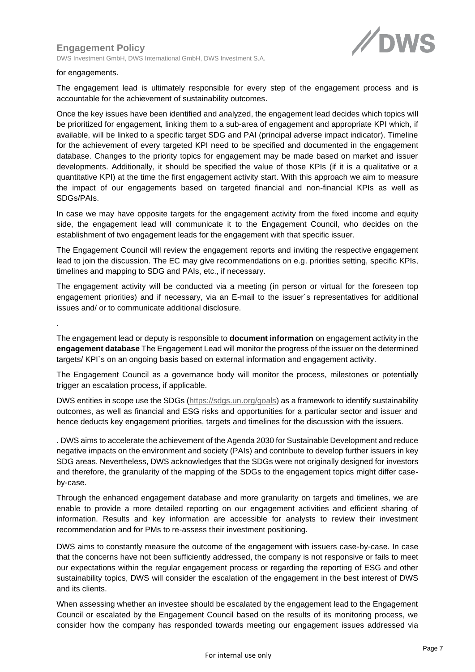DWS Investment GmbH, DWS International GmbH, DWS Investment S.A.



#### for engagements.

.

The engagement lead is ultimately responsible for every step of the engagement process and is accountable for the achievement of sustainability outcomes.

Once the key issues have been identified and analyzed, the engagement lead decides which topics will be prioritized for engagement, linking them to a sub-area of engagement and appropriate KPI which, if available, will be linked to a specific target SDG and PAI (principal adverse impact indicator). Timeline for the achievement of every targeted KPI need to be specified and documented in the engagement database. Changes to the priority topics for engagement may be made based on market and issuer developments. Additionally, it should be specified the value of those KPIs (if it is a qualitative or a quantitative KPI) at the time the first engagement activity start. With this approach we aim to measure the impact of our engagements based on targeted financial and non-financial KPIs as well as SDGs/PAIs.

In case we may have opposite targets for the engagement activity from the fixed income and equity side, the engagement lead will communicate it to the Engagement Council, who decides on the establishment of two engagement leads for the engagement with that specific issuer.

The Engagement Council will review the engagement reports and inviting the respective engagement lead to join the discussion. The EC may give recommendations on e.g. priorities setting, specific KPIs, timelines and mapping to SDG and PAIs, etc., if necessary.

The engagement activity will be conducted via a meeting (in person or virtual for the foreseen top engagement priorities) and if necessary, via an E-mail to the issuer´s representatives for additional issues and/ or to communicate additional disclosure.

The engagement lead or deputy is responsible to **document information** on engagement activity in the **engagement database** The Engagement Lead will monitor the progress of the issuer on the determined targets/ KPI`s on an ongoing basis based on external information and engagement activity.

The Engagement Council as a governance body will monitor the process, milestones or potentially trigger an escalation process, if applicable.

DWS entities in scope use the SDGs [\(https://sdgs.un.org/goals\)](https://sdgs.un.org/goals) as a framework to identify sustainability outcomes, as well as financial and ESG risks and opportunities for a particular sector and issuer and hence deducts key engagement priorities, targets and timelines for the discussion with the issuers.

. DWS aims to accelerate the achievement of the Agenda 2030 for Sustainable Development and reduce negative impacts on the environment and society (PAIs) and contribute to develop further issuers in key SDG areas. Nevertheless, DWS acknowledges that the SDGs were not originally designed for investors and therefore, the granularity of the mapping of the SDGs to the engagement topics might differ caseby-case.

Through the enhanced engagement database and more granularity on targets and timelines, we are enable to provide a more detailed reporting on our engagement activities and efficient sharing of information. Results and key information are accessible for analysts to review their investment recommendation and for PMs to re-assess their investment positioning.

DWS aims to constantly measure the outcome of the engagement with issuers case-by-case. In case that the concerns have not been sufficiently addressed, the company is not responsive or fails to meet our expectations within the regular engagement process or regarding the reporting of ESG and other sustainability topics, DWS will consider the escalation of the engagement in the best interest of DWS and its clients.

When assessing whether an investee should be escalated by the engagement lead to the Engagement Council or escalated by the Engagement Council based on the results of its monitoring process, we consider how the company has responded towards meeting our engagement issues addressed via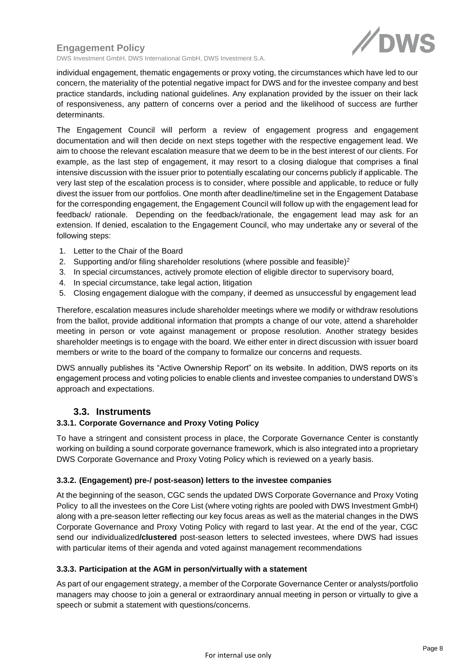

DWS Investment GmbH, DWS International GmbH, DWS Investment S.A.

individual engagement, thematic engagements or proxy voting, the circumstances which have led to our concern, the materiality of the potential negative impact for DWS and for the investee company and best practice standards, including national guidelines. Any explanation provided by the issuer on their lack of responsiveness, any pattern of concerns over a period and the likelihood of success are further determinants.

The Engagement Council will perform a review of engagement progress and engagement documentation and will then decide on next steps together with the respective engagement lead. We aim to choose the relevant escalation measure that we deem to be in the best interest of our clients. For example, as the last step of engagement, it may resort to a closing dialogue that comprises a final intensive discussion with the issuer prior to potentially escalating our concerns publicly if applicable. The very last step of the escalation process is to consider, where possible and applicable, to reduce or fully divest the issuer from our portfolios. One month after deadline/timeline set in the Engagement Database for the corresponding engagement, the Engagement Council will follow up with the engagement lead for feedback/ rationale. Depending on the feedback/rationale, the engagement lead may ask for an extension. If denied, escalation to the Engagement Council, who may undertake any or several of the following steps:

- 1. Letter to the Chair of the Board
- 2. Supporting and/or filing shareholder resolutions (where possible and feasible)<sup>2</sup>
- 3. In special circumstances, actively promote election of eligible director to supervisory board,
- 4. In special circumstance, take legal action, litigation
- 5. Closing engagement dialogue with the company, if deemed as unsuccessful by engagement lead

Therefore, escalation measures include shareholder meetings where we modify or withdraw resolutions from the ballot, provide additional information that prompts a change of our vote, attend a shareholder meeting in person or vote against management or propose resolution. Another strategy besides shareholder meetings is to engage with the board. We either enter in direct discussion with issuer board members or write to the board of the company to formalize our concerns and requests.

DWS annually publishes its "Active Ownership Report" on its website. In addition, DWS reports on its engagement process and voting policies to enable clients and investee companies to understand DWS's approach and expectations.

### **3.3. Instruments**

#### <span id="page-7-1"></span><span id="page-7-0"></span>**3.3.1. Corporate Governance and Proxy Voting Policy**

To have a stringent and consistent process in place, the Corporate Governance Center is constantly working on building a sound corporate governance framework, which is also integrated into a proprietary DWS Corporate Governance and Proxy Voting Policy which is reviewed on a yearly basis.

#### <span id="page-7-2"></span>**3.3.2. (Engagement) pre-/ post-season) letters to the investee companies**

At the beginning of the season, CGC sends the updated DWS Corporate Governance and Proxy Voting Policy to all the investees on the Core List (where voting rights are pooled with DWS Investment GmbH) along with a pre-season letter reflecting our key focus areas as well as the material changes in the DWS Corporate Governance and Proxy Voting Policy with regard to last year. At the end of the year, CGC send our individualized**/clustered** post-season letters to selected investees, where DWS had issues with particular items of their agenda and voted against management recommendations

#### <span id="page-7-3"></span>**3.3.3. Participation at the AGM in person/virtually with a statement**

As part of our engagement strategy, a member of the Corporate Governance Center or analysts/portfolio managers may choose to join a general or extraordinary annual meeting in person or virtually to give a speech or submit a statement with questions/concerns.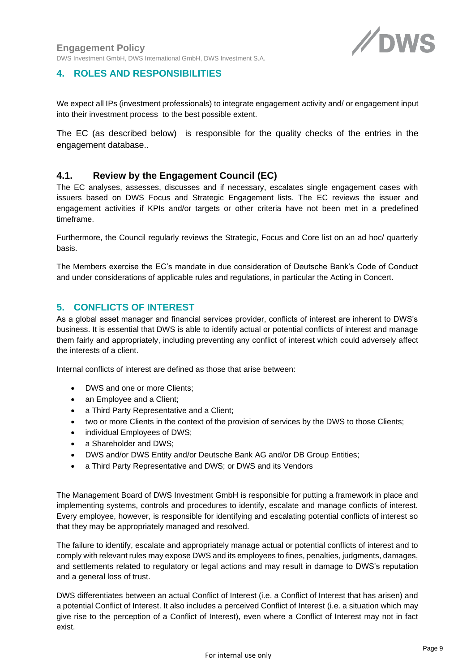

# <span id="page-8-0"></span>**4. ROLES AND RESPONSIBILITIES**

We expect all IPs (investment professionals) to integrate engagement activity and/ or engagement input into their investment process to the best possible extent.

The EC (as described below) is responsible for the quality checks of the entries in the engagement database..

# <span id="page-8-1"></span>**4.1. Review by the Engagement Council (EC)**

The EC analyses, assesses, discusses and if necessary, escalates single engagement cases with issuers based on DWS Focus and Strategic Engagement lists. The EC reviews the issuer and engagement activities if KPIs and/or targets or other criteria have not been met in a predefined timeframe.

Furthermore, the Council regularly reviews the Strategic, Focus and Core list on an ad hoc/ quarterly basis.

The Members exercise the EC's mandate in due consideration of Deutsche Bank's Code of Conduct and under considerations of applicable rules and regulations, in particular the Acting in Concert.

# <span id="page-8-2"></span>**5. CONFLICTS OF INTEREST**

As a global asset manager and financial services provider, conflicts of interest are inherent to DWS's business. It is essential that DWS is able to identify actual or potential conflicts of interest and manage them fairly and appropriately, including preventing any conflict of interest which could adversely affect the interests of a client.

Internal conflicts of interest are defined as those that arise between:

- DWS and one or more Clients:
- an Employee and a Client;
- a Third Party Representative and a Client;
- two or more Clients in the context of the provision of services by the DWS to those Clients;
- individual Employees of DWS;
- a Shareholder and DWS;
- DWS and/or DWS Entity and/or Deutsche Bank AG and/or DB Group Entities;
- a Third Party Representative and DWS; or DWS and its Vendors

The Management Board of DWS Investment GmbH is responsible for putting a framework in place and implementing systems, controls and procedures to identify, escalate and manage conflicts of interest. Every employee, however, is responsible for identifying and escalating potential conflicts of interest so that they may be appropriately managed and resolved.

The failure to identify, escalate and appropriately manage actual or potential conflicts of interest and to comply with relevant rules may expose DWS and its employees to fines, penalties, judgments, damages, and settlements related to regulatory or legal actions and may result in damage to DWS's reputation and a general loss of trust.

DWS differentiates between an actual Conflict of Interest (i.e. a Conflict of Interest that has arisen) and a potential Conflict of Interest. It also includes a perceived Conflict of Interest (i.e. a situation which may give rise to the perception of a Conflict of Interest), even where a Conflict of Interest may not in fact exist.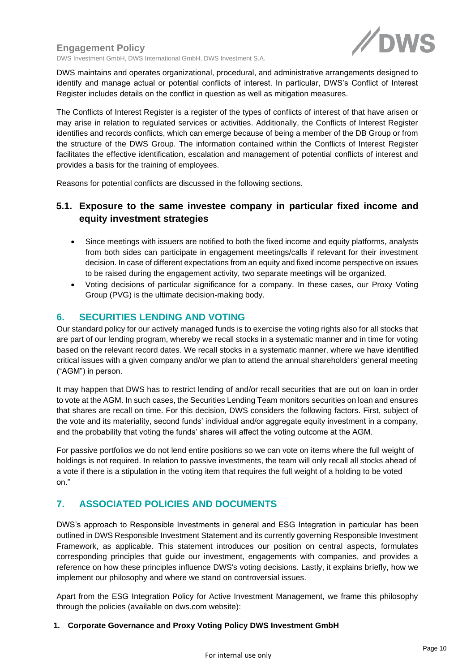

DWS Investment GmbH, DWS International GmbH, DWS Investment S.A.

DWS maintains and operates organizational, procedural, and administrative arrangements designed to identify and manage actual or potential conflicts of interest. In particular, DWS's Conflict of Interest Register includes details on the conflict in question as well as mitigation measures.

The Conflicts of Interest Register is a register of the types of conflicts of interest of that have arisen or may arise in relation to regulated services or activities. Additionally, the Conflicts of Interest Register identifies and records conflicts, which can emerge because of being a member of the DB Group or from the structure of the DWS Group. The information contained within the Conflicts of Interest Register facilitates the effective identification, escalation and management of potential conflicts of interest and provides a basis for the training of employees.

Reasons for potential conflicts are discussed in the following sections.

# <span id="page-9-0"></span>**5.1. Exposure to the same investee company in particular fixed income and equity investment strategies**

- Since meetings with issuers are notified to both the fixed income and equity platforms, analysts from both sides can participate in engagement meetings/calls if relevant for their investment decision. In case of different expectations from an equity and fixed income perspective on issues to be raised during the engagement activity, two separate meetings will be organized.
- Voting decisions of particular significance for a company. In these cases, our Proxy Voting Group (PVG) is the ultimate decision-making body.

# <span id="page-9-1"></span>**6. SECURITIES LENDING AND VOTING**

Our standard policy for our actively managed funds is to exercise the voting rights also for all stocks that are part of our lending program, whereby we recall stocks in a systematic manner and in time for voting based on the relevant record dates. We recall stocks in a systematic manner, where we have identified critical issues with a given company and/or we plan to attend the annual shareholders' general meeting ("AGM") in person.

It may happen that DWS has to restrict lending of and/or recall securities that are out on loan in order to vote at the AGM. In such cases, the Securities Lending Team monitors securities on loan and ensures that shares are recall on time. For this decision, DWS considers the following factors. First, subject of the vote and its materiality, second funds' individual and/or aggregate equity investment in a company, and the probability that voting the funds' shares will affect the voting outcome at the AGM.

For passive portfolios we do not lend entire positions so we can vote on items where the full weight of holdings is not required. In relation to passive investments, the team will only recall all stocks ahead of a vote if there is a stipulation in the voting item that requires the full weight of a holding to be voted on."

# <span id="page-9-2"></span>**7. ASSOCIATED POLICIES AND DOCUMENTS**

DWS's approach to Responsible Investments in general and ESG Integration in particular has been outlined in DWS Responsible Investment Statement and its currently governing Responsible Investment Framework, as applicable. This statement introduces our position on central aspects, formulates corresponding principles that guide our investment, engagements with companies, and provides a reference on how these principles influence DWS's voting decisions. Lastly, it explains briefly, how we implement our philosophy and where we stand on controversial issues.

Apart from the ESG Integration Policy for Active Investment Management, we frame this philosophy through the policies (available on dws.com website):

#### **1. Corporate Governance and Proxy Voting Policy DWS Investment GmbH**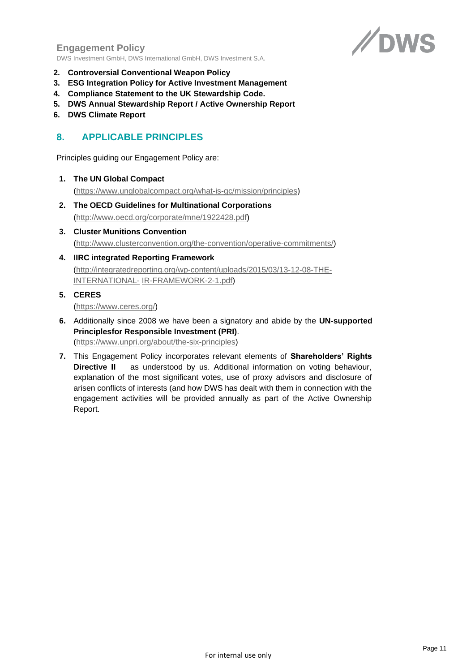

DWS Investment GmbH, DWS International GmbH, DWS Investment S.A.

- **2. Controversial Conventional Weapon Policy**
- **3. ESG Integration Policy for Active Investment Management**
- **4. Compliance Statement to the UK Stewardship Code.**
- **5. DWS Annual Stewardship Report / Active Ownership Report**
- **6. DWS Climate Report**

# <span id="page-10-0"></span>**8. APPLICABLE PRINCIPLES**

Principles guiding our Engagement Policy are:

**1. The UN Global Compact**

[\(https://www.unglobalcompact.org/what-is-gc/mission/principles\)](https://www.unglobalcompact.org/what-is-gc/mission/principles)

- **2. The OECD Guidelines for Multinational Corporations** [\(http://www.oecd.org/corporate/mne/1922428.pdf\)](http://www.oecd.org/corporate/mne/1922428.pdf)
- **3. Cluster Munitions Convention** [\(http://www.clusterconvention.org/the-convention/operative-commitments/\)](http://www.clusterconvention.org/the-convention/operative-commitments/)
- **4. IIRC integrated Reporting Framework** [\(http://integratedreporting.org/wp-content/uploads/2015/03/13-12-08-THE-](http://integratedreporting.org/wp-content/uploads/2015/03/13-12-08-THE-INTERNATIONAL-IR-FRAMEWORK-2-1.pdf)[INTERNATIONAL-](http://integratedreporting.org/wp-content/uploads/2015/03/13-12-08-THE-INTERNATIONAL-IR-FRAMEWORK-2-1.pdf) [IR-FRAMEWORK-2-1.pdf\)](http://integratedreporting.org/wp-content/uploads/2015/03/13-12-08-THE-INTERNATIONAL-IR-FRAMEWORK-2-1.pdf)
- **5. CERES**

[\(https://www.ceres.org/\)](https://www.ceres.org/)

- **6.** Additionally since 2008 we have been a signatory and abide by the **UN-supported Principlesfor Responsible Investment (PRI)**. [\(https://www.unpri.org/about/the-six-principles\)](https://www.unpri.org/about/the-six-principles)
- **7.** This Engagement Policy incorporates relevant elements of **Shareholders' Rights Directive II** as understood by us. Additional information on voting behaviour, explanation of the most significant votes, use of proxy advisors and disclosure of arisen conflicts of interests (and how DWS has dealt with them in connection with the engagement activities will be provided annually as part of the Active Ownership Report.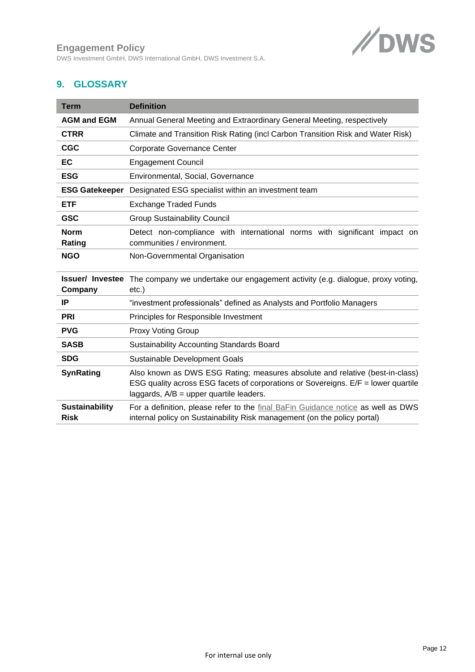DWS Investment GmbH, DWS International GmbH, DWS Investment S.A.



# <span id="page-11-0"></span>**9. GLOSSARY**

| <b>Term</b>                          | <b>Definition</b>                                                                                                                                                                                              |
|--------------------------------------|----------------------------------------------------------------------------------------------------------------------------------------------------------------------------------------------------------------|
| <b>AGM and EGM</b>                   | Annual General Meeting and Extraordinary General Meeting, respectively                                                                                                                                         |
| <b>CTRR</b>                          | Climate and Transition Risk Rating (incl Carbon Transition Risk and Water Risk)                                                                                                                                |
| <b>CGC</b>                           | <b>Corporate Governance Center</b>                                                                                                                                                                             |
| EC                                   | <b>Engagement Council</b>                                                                                                                                                                                      |
| <b>ESG</b>                           | Environmental, Social, Governance                                                                                                                                                                              |
| <b>ESG Gatekeeper</b>                | Designated ESG specialist within an investment team                                                                                                                                                            |
| <b>ETF</b>                           | <b>Exchange Traded Funds</b>                                                                                                                                                                                   |
| <b>GSC</b>                           | <b>Group Sustainability Council</b>                                                                                                                                                                            |
| <b>Norm</b>                          | Detect non-compliance with international norms with significant impact on                                                                                                                                      |
| Rating                               | communities / environment.                                                                                                                                                                                     |
| <b>NGO</b>                           | Non-Governmental Organisation                                                                                                                                                                                  |
| <b>Issuer/ Investee</b>              | The company we undertake our engagement activity (e.g. dialogue, proxy voting,                                                                                                                                 |
| Company                              | $etc.$ )                                                                                                                                                                                                       |
| IP                                   | "investment professionals" defined as Analysts and Portfolio Managers                                                                                                                                          |
| <b>PRI</b>                           | Principles for Responsible Investment                                                                                                                                                                          |
| <b>PVG</b>                           | <b>Proxy Voting Group</b>                                                                                                                                                                                      |
| <b>SASB</b>                          | <b>Sustainability Accounting Standards Board</b>                                                                                                                                                               |
| <b>SDG</b>                           | Sustainable Development Goals                                                                                                                                                                                  |
| <b>SynRating</b>                     | Also known as DWS ESG Rating; measures absolute and relative (best-in-class)<br>ESG quality across ESG facets of corporations or Sovereigns. E/F = lower quartile<br>laggards, $A/B =$ upper quartile leaders. |
| <b>Sustainability</b><br><b>Risk</b> | For a definition, please refer to the final BaFin Guidance notice as well as DWS<br>internal policy on Sustainability Risk management (on the policy portal)                                                   |